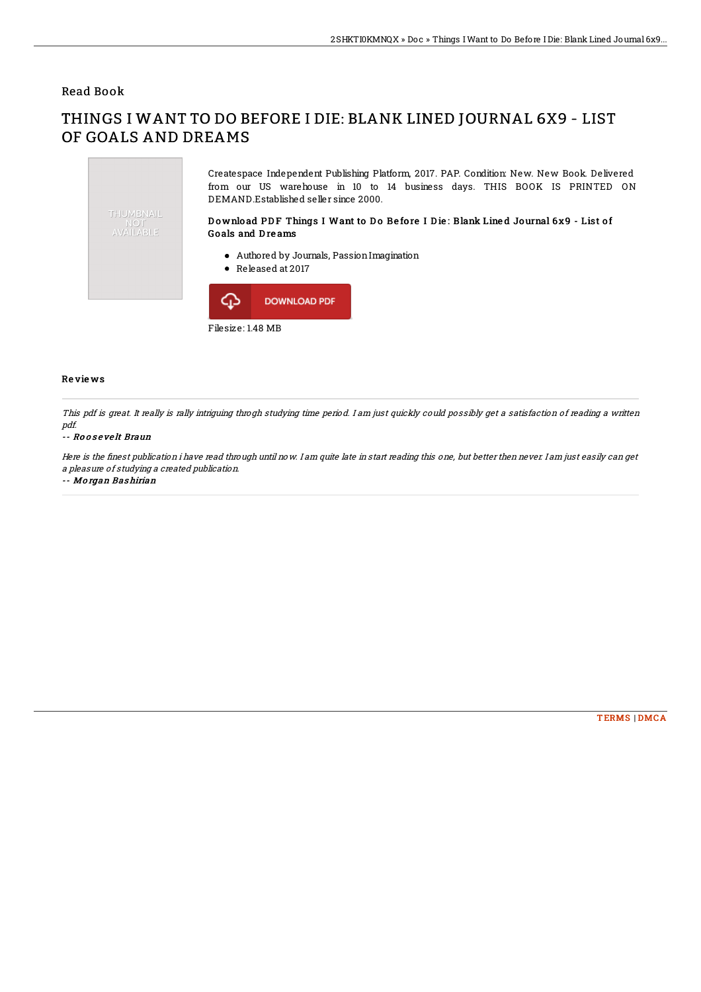## Read Book

# THINGS I WANT TO DO BEFORE I DIE: BLANK LINED JOURNAL 6X9 - LIST OF GOALS AND DREAMS



### Re vie ws

This pdf is great. It really is rally intriguing throgh studying time period. I am just quickly could possibly get <sup>a</sup> satisfaction of reading <sup>a</sup> written pdf.

#### -- Ro o s e ve lt Braun

Here is the finest publication i have read through until now. I am quite late in start reading this one, but better then never. I am just easily can get <sup>a</sup> pleasure of studying <sup>a</sup> created publication.

#### -- Mo rgan Bas hirian